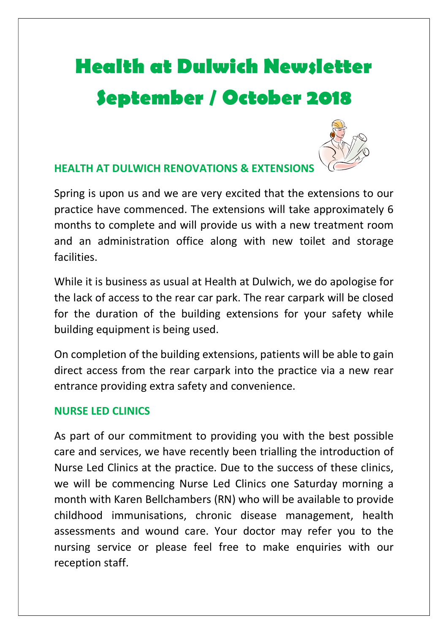# Health at Dulwich Newsletter September / October 2018



## HEALTH AT DULWICH RENOVATIONS & EXTENSIONS

Spring is upon us and we are very excited that the extensions to our practice have commenced. The extensions will take approximately 6 months to complete and will provide us with a new treatment room and an administration office along with new toilet and storage facilities.

While it is business as usual at Health at Dulwich, we do apologise for the lack of access to the rear car park. The rear carpark will be closed for the duration of the building extensions for your safety while building equipment is being used.

On completion of the building extensions, patients will be able to gain direct access from the rear carpark into the practice via a new rear entrance providing extra safety and convenience.

### NURSE LED CLINICS

As part of our commitment to providing you with the best possible care and services, we have recently been trialling the introduction of Nurse Led Clinics at the practice. Due to the success of these clinics, we will be commencing Nurse Led Clinics one Saturday morning a month with Karen Bellchambers (RN) who will be available to provide childhood immunisations, chronic disease management, health assessments and wound care. Your doctor may refer you to the nursing service or please feel free to make enquiries with our reception staff.